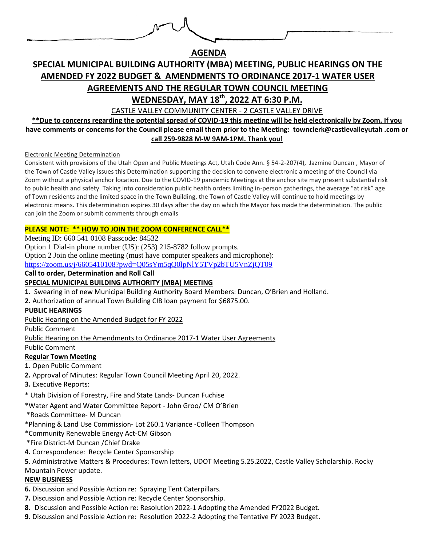

**AGENDA** 

# **SPECIAL MUNICIPAL BUILDING AUTHORITY (MBA) MEETING, PUBLIC HEARINGS ON THE AMENDED FY 2022 BUDGET & AMENDMENTS TO ORDINANCE 2017-1 WATER USER AGREEMENTS AND THE REGULAR TOWN COUNCIL MEETING WEDNESDAY, MAY 18 th, 2022 AT 6:30 P.M.**

CASTLE VALLEY COMMUNITY CENTER - 2 CASTLE VALLEY DRIVE

**\*\*Due to concerns regarding the potential spread of COVID-19 this meeting will be held electronically by Zoom. If you have comments or concerns for the Council please email them prior to the Meeting: townclerk@castlevalleyutah .com or call 259-9828 M-W 9AM-1PM. Thank you!** 

Electronic Meeting Determination

Consistent with provisions of the Utah Open and Public Meetings Act, Utah Code Ann. § 54-2-207(4), Jazmine Duncan , Mayor of the Town of Castle Valley issues this Determination supporting the decision to convene electronic a meeting of the Council via Zoom without a physical anchor location. Due to the COVID-19 pandemic Meetings at the anchor site may present substantial risk to public health and safety. Taking into consideration public health orders limiting in-person gatherings, the average "at risk" age of Town residents and the limited space in the Town Building, the Town of Castle Valley will continue to hold meetings by electronic means. This determination expires 30 days after the day on which the Mayor has made the determination. The public can join the Zoom or submit comments through emails

## **PLEASE NOTE: \*\* HOW TO JOIN THE ZOOM CONFERENCE CALL\*\***

Meeting ID: 660 541 0108 Passcode: 84532

Option 1 Dial-in phone number (US): (253) 215-8782 follow prompts.

Option 2 Join the online meeting (must have computer speakers and microphone):

<https://zoom.us/j/6605410108?pwd=Q05sYm5qQ0lpNlY5TVp2bTU5VnZjQT09>

**Call to order, Determination and Roll Call**

# **SPECIAL MUNICIPAL BUILDING AUTHORITY (MBA) MEETING**

**1.** Swearing in of new Municipal Building Authority Board Members: Duncan, O'Brien and Holland.

**2.** Authorization of annual Town Building CIB loan payment for \$6875.00.

#### **PUBLIC HEARINGS**

Public Hearing on the Amended Budget for FY 2022

Public Comment

Public Hearing on the Amendments to Ordinance 2017-1 Water User Agreements

Public Comment

#### **Regular Town Meeting**

**1.** Open Public Comment

- **2.** Approval of Minutes: Regular Town Council Meeting April 20, 2022.
- **3.** Executive Reports:

\* Utah Division of Forestry, Fire and State Lands- Duncan Fuchise

\*Water Agent and Water Committee Report - John Groo/ CM O'Brien

\*Roads Committee- M Duncan

\*Planning & Land Use Commission- Lot 260.1 Variance -Colleen Thompson

\*Community Renewable Energy Act-CM Gibson

\*Fire District-M Duncan /Chief Drake

**4.** Correspondence: Recycle Center Sponsorship

**5**. Administrative Matters & Procedures: Town letters, UDOT Meeting 5.25.2022, Castle Valley Scholarship. Rocky Mountain Power update.

#### **NEW BUSINESS**

- **6.** Discussion and Possible Action re: Spraying Tent Caterpillars.
- **7.** Discussion and Possible Action re: Recycle Center Sponsorship.
- **8.** Discussion and Possible Action re: Resolution 2022-1 Adopting the Amended FY2022 Budget.
- **9.** Discussion and Possible Action re: Resolution 2022-2 Adopting the Tentative FY 2023 Budget.